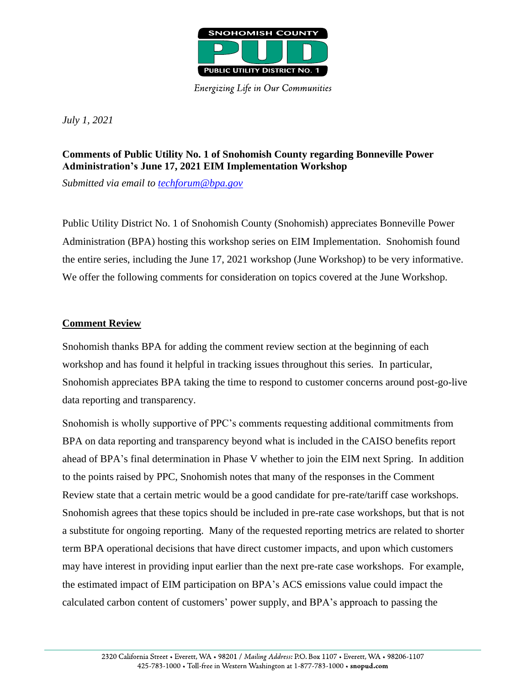

**Energizing Life in Our Communities** 

*July 1, 2021*

# **Comments of Public Utility No. 1 of Snohomish County regarding Bonneville Power Administration's June 17, 2021 EIM Implementation Workshop**

*Submitted via email to [techforum@bpa.gov](mailto:techforum@bpa.gov)*

Public Utility District No. 1 of Snohomish County (Snohomish) appreciates Bonneville Power Administration (BPA) hosting this workshop series on EIM Implementation. Snohomish found the entire series, including the June 17, 2021 workshop (June Workshop) to be very informative. We offer the following comments for consideration on topics covered at the June Workshop.

### **Comment Review**

Snohomish thanks BPA for adding the comment review section at the beginning of each workshop and has found it helpful in tracking issues throughout this series. In particular, Snohomish appreciates BPA taking the time to respond to customer concerns around post-go-live data reporting and transparency.

Snohomish is wholly supportive of PPC's comments requesting additional commitments from BPA on data reporting and transparency beyond what is included in the CAISO benefits report ahead of BPA's final determination in Phase V whether to join the EIM next Spring. In addition to the points raised by PPC, Snohomish notes that many of the responses in the Comment Review state that a certain metric would be a good candidate for pre-rate/tariff case workshops. Snohomish agrees that these topics should be included in pre-rate case workshops, but that is not a substitute for ongoing reporting. Many of the requested reporting metrics are related to shorter term BPA operational decisions that have direct customer impacts, and upon which customers may have interest in providing input earlier than the next pre-rate case workshops. For example, the estimated impact of EIM participation on BPA's ACS emissions value could impact the calculated carbon content of customers' power supply, and BPA's approach to passing the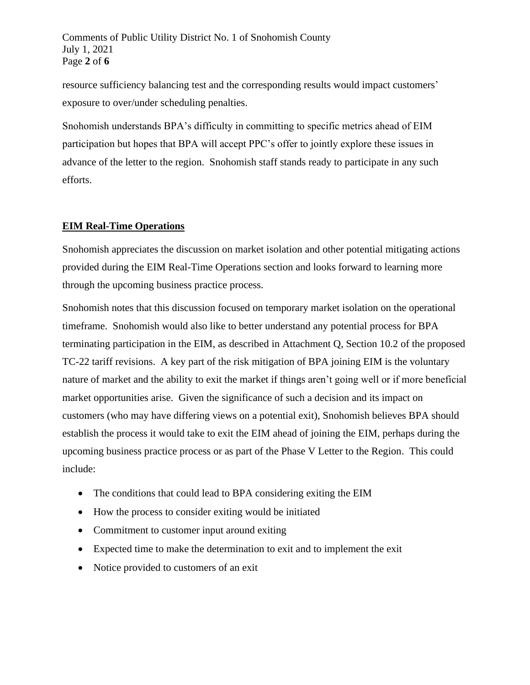resource sufficiency balancing test and the corresponding results would impact customers' exposure to over/under scheduling penalties.

Snohomish understands BPA's difficulty in committing to specific metrics ahead of EIM participation but hopes that BPA will accept PPC's offer to jointly explore these issues in advance of the letter to the region. Snohomish staff stands ready to participate in any such efforts.

## **EIM Real-Time Operations**

Snohomish appreciates the discussion on market isolation and other potential mitigating actions provided during the EIM Real-Time Operations section and looks forward to learning more through the upcoming business practice process.

Snohomish notes that this discussion focused on temporary market isolation on the operational timeframe. Snohomish would also like to better understand any potential process for BPA terminating participation in the EIM, as described in Attachment Q, Section 10.2 of the proposed TC-22 tariff revisions. A key part of the risk mitigation of BPA joining EIM is the voluntary nature of market and the ability to exit the market if things aren't going well or if more beneficial market opportunities arise. Given the significance of such a decision and its impact on customers (who may have differing views on a potential exit), Snohomish believes BPA should establish the process it would take to exit the EIM ahead of joining the EIM, perhaps during the upcoming business practice process or as part of the Phase V Letter to the Region. This could include:

- The conditions that could lead to BPA considering exiting the EIM
- How the process to consider exiting would be initiated
- Commitment to customer input around exiting
- Expected time to make the determination to exit and to implement the exit
- Notice provided to customers of an exit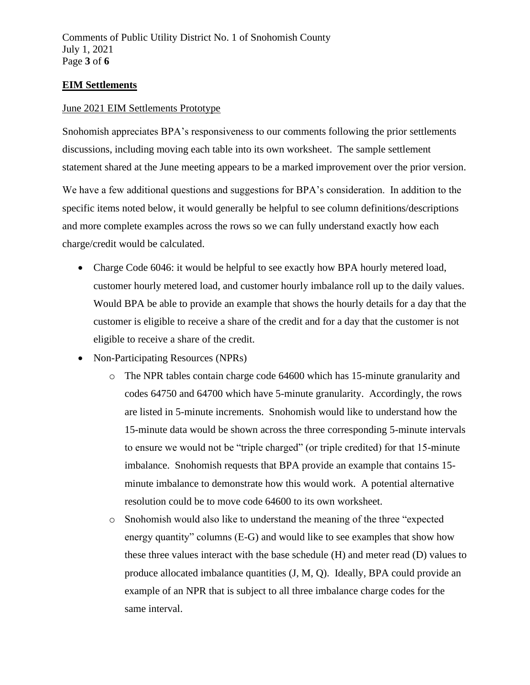### **EIM Settlements**

#### June 2021 EIM Settlements Prototype

Snohomish appreciates BPA's responsiveness to our comments following the prior settlements discussions, including moving each table into its own worksheet. The sample settlement statement shared at the June meeting appears to be a marked improvement over the prior version.

We have a few additional questions and suggestions for BPA's consideration. In addition to the specific items noted below, it would generally be helpful to see column definitions/descriptions and more complete examples across the rows so we can fully understand exactly how each charge/credit would be calculated.

- Charge Code 6046: it would be helpful to see exactly how BPA hourly metered load, customer hourly metered load, and customer hourly imbalance roll up to the daily values. Would BPA be able to provide an example that shows the hourly details for a day that the customer is eligible to receive a share of the credit and for a day that the customer is not eligible to receive a share of the credit.
- Non-Participating Resources (NPRs)
	- o The NPR tables contain charge code 64600 which has 15-minute granularity and codes 64750 and 64700 which have 5-minute granularity. Accordingly, the rows are listed in 5-minute increments. Snohomish would like to understand how the 15-minute data would be shown across the three corresponding 5-minute intervals to ensure we would not be "triple charged" (or triple credited) for that 15-minute imbalance. Snohomish requests that BPA provide an example that contains 15 minute imbalance to demonstrate how this would work. A potential alternative resolution could be to move code 64600 to its own worksheet.
	- o Snohomish would also like to understand the meaning of the three "expected energy quantity" columns (E-G) and would like to see examples that show how these three values interact with the base schedule (H) and meter read (D) values to produce allocated imbalance quantities (J, M, Q). Ideally, BPA could provide an example of an NPR that is subject to all three imbalance charge codes for the same interval.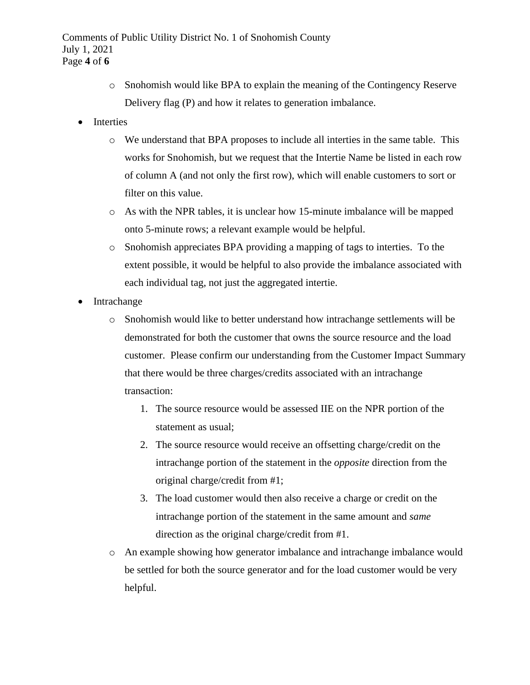- o Snohomish would like BPA to explain the meaning of the Contingency Reserve Delivery flag (P) and how it relates to generation imbalance.
- **Interties** 
	- o We understand that BPA proposes to include all interties in the same table. This works for Snohomish, but we request that the Intertie Name be listed in each row of column A (and not only the first row), which will enable customers to sort or filter on this value.
	- o As with the NPR tables, it is unclear how 15-minute imbalance will be mapped onto 5-minute rows; a relevant example would be helpful.
	- o Snohomish appreciates BPA providing a mapping of tags to interties. To the extent possible, it would be helpful to also provide the imbalance associated with each individual tag, not just the aggregated intertie.
- Intrachange
	- o Snohomish would like to better understand how intrachange settlements will be demonstrated for both the customer that owns the source resource and the load customer. Please confirm our understanding from the Customer Impact Summary that there would be three charges/credits associated with an intrachange transaction:
		- 1. The source resource would be assessed IIE on the NPR portion of the statement as usual;
		- 2. The source resource would receive an offsetting charge/credit on the intrachange portion of the statement in the *opposite* direction from the original charge/credit from #1;
		- 3. The load customer would then also receive a charge or credit on the intrachange portion of the statement in the same amount and *same* direction as the original charge/credit from #1.
	- o An example showing how generator imbalance and intrachange imbalance would be settled for both the source generator and for the load customer would be very helpful.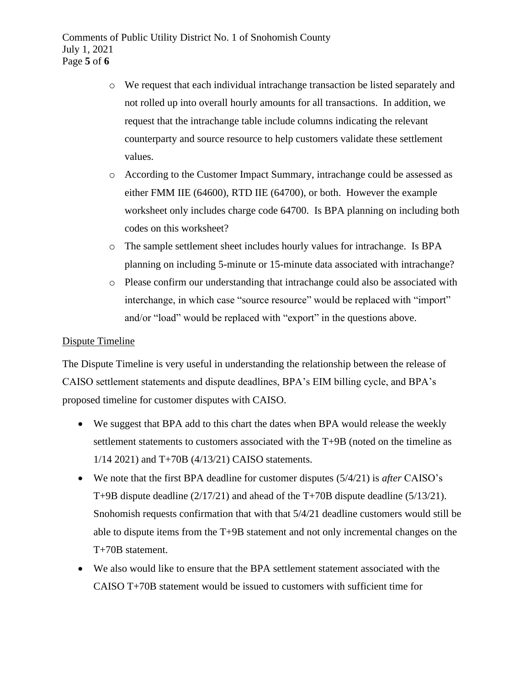- o We request that each individual intrachange transaction be listed separately and not rolled up into overall hourly amounts for all transactions. In addition, we request that the intrachange table include columns indicating the relevant counterparty and source resource to help customers validate these settlement values.
- o According to the Customer Impact Summary, intrachange could be assessed as either FMM IIE (64600), RTD IIE (64700), or both. However the example worksheet only includes charge code 64700. Is BPA planning on including both codes on this worksheet?
- o The sample settlement sheet includes hourly values for intrachange. Is BPA planning on including 5-minute or 15-minute data associated with intrachange?
- o Please confirm our understanding that intrachange could also be associated with interchange, in which case "source resource" would be replaced with "import" and/or "load" would be replaced with "export" in the questions above.

### Dispute Timeline

The Dispute Timeline is very useful in understanding the relationship between the release of CAISO settlement statements and dispute deadlines, BPA's EIM billing cycle, and BPA's proposed timeline for customer disputes with CAISO.

- We suggest that BPA add to this chart the dates when BPA would release the weekly settlement statements to customers associated with the T+9B (noted on the timeline as 1/14 2021) and T+70B (4/13/21) CAISO statements.
- We note that the first BPA deadline for customer disputes (5/4/21) is *after* CAISO's T+9B dispute deadline (2/17/21) and ahead of the T+70B dispute deadline (5/13/21). Snohomish requests confirmation that with that 5/4/21 deadline customers would still be able to dispute items from the T+9B statement and not only incremental changes on the T+70B statement.
- We also would like to ensure that the BPA settlement statement associated with the CAISO T+70B statement would be issued to customers with sufficient time for